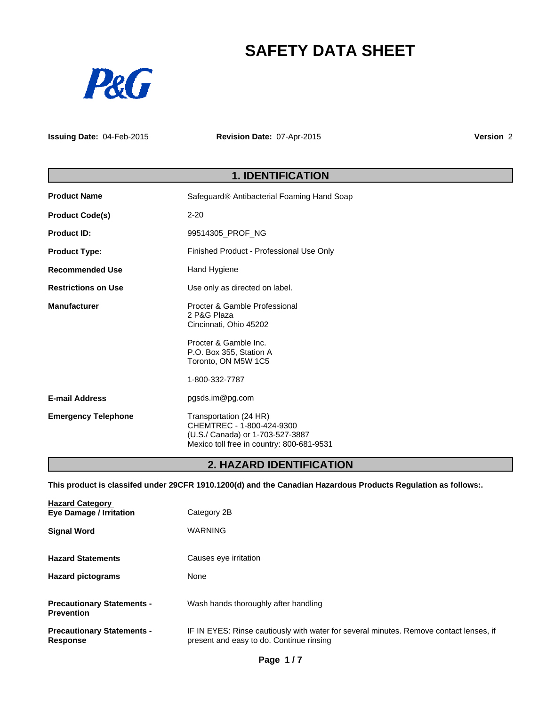# **SAFETY DATA SHEET**



**Issuing Date:** 04-Feb-2015

**Revision Date:** 07-Apr-2015

**Version** 2

## **1. IDENTIFICATION**

| <b>Product Name</b>        | Safeguard <sup>®</sup> Antibacterial Foaming Hand Soap                                                                               |  |
|----------------------------|--------------------------------------------------------------------------------------------------------------------------------------|--|
| <b>Product Code(s)</b>     | $2 - 20$                                                                                                                             |  |
| Product ID:                | 99514305_PROF_NG                                                                                                                     |  |
| <b>Product Type:</b>       | Finished Product - Professional Use Only                                                                                             |  |
| <b>Recommended Use</b>     | Hand Hygiene                                                                                                                         |  |
| <b>Restrictions on Use</b> | Use only as directed on label.                                                                                                       |  |
| <b>Manufacturer</b>        | Procter & Gamble Professional<br>2 P&G Plaza<br>Cincinnati, Ohio 45202                                                               |  |
|                            | Procter & Gamble Inc.<br>P.O. Box 355, Station A<br>Toronto, ON M5W 1C5                                                              |  |
|                            | 1-800-332-7787                                                                                                                       |  |
| <b>E-mail Address</b>      | pgsds.im@pg.com                                                                                                                      |  |
| <b>Emergency Telephone</b> | Transportation (24 HR)<br>CHEMTREC - 1-800-424-9300<br>(U.S./ Canada) or 1-703-527-3887<br>Mexico toll free in country: 800-681-9531 |  |

## **2. HAZARD IDENTIFICATION**

**This product is classifed under 29CFR 1910.1200(d) and the Canadian Hazardous Products Regulation as follows:.**

| <b>Hazard Category</b><br><b>Eye Damage / Irritation</b> | Category 2B                                                                                                                        |
|----------------------------------------------------------|------------------------------------------------------------------------------------------------------------------------------------|
| <b>Signal Word</b>                                       | <b>WARNING</b>                                                                                                                     |
| <b>Hazard Statements</b>                                 | Causes eye irritation                                                                                                              |
| <b>Hazard pictograms</b>                                 | None                                                                                                                               |
| <b>Precautionary Statements -</b><br><b>Prevention</b>   | Wash hands thoroughly after handling                                                                                               |
| <b>Precautionary Statements -</b><br><b>Response</b>     | IF IN EYES: Rinse cautiously with water for several minutes. Remove contact lenses, if<br>present and easy to do. Continue rinsing |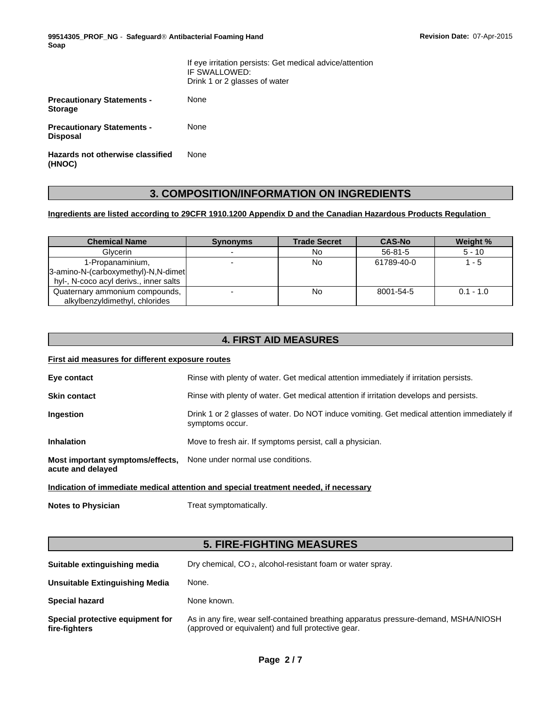**99514305\_PROF\_NG** - **SafeguardÒ Antibacterial Foaming Hand Soap**

|                                                      | If eye irritation persists: Get medical advice/attention<br>IF SWALLOWED:<br>Drink 1 or 2 glasses of water |
|------------------------------------------------------|------------------------------------------------------------------------------------------------------------|
| <b>Precautionary Statements -</b><br><b>Storage</b>  | None                                                                                                       |
| <b>Precautionary Statements -</b><br><b>Disposal</b> | None                                                                                                       |
| Hazards not otherwise classified<br>(HNOC)           | None                                                                                                       |

## **3. COMPOSITION/INFORMATION ON INGREDIENTS**

## **Ingredients are listed according to 29CFR 1910.1200 Appendix D and the Canadian Hazardous Products Regulation**

| <b>Chemical Name</b>                   | <b>Synonyms</b> | <b>Trade Secret</b> | <b>CAS-No</b> | Weight %    |
|----------------------------------------|-----------------|---------------------|---------------|-------------|
| <b>Glvcerin</b>                        |                 | No                  | $56 - 81 - 5$ | $5 - 10$    |
| 1-Propanaminium,                       |                 | No                  | 61789-40-0    | 1 - 5       |
| 3-amino-N-(carboxymethyl)-N,N-dimet    |                 |                     |               |             |
| hyl-, N-coco acyl derivs., inner salts |                 |                     |               |             |
| Quaternary ammonium compounds,         |                 | No                  | 8001-54-5     | $0.1 - 1.0$ |
| alkylbenzyldimethyl, chlorides         |                 |                     |               |             |

## **4. FIRST AID MEASURES**

## **First aid measures for different exposure routes**

| Eye contact                                                                          | Rinse with plenty of water. Get medical attention immediately if irritation persists.                          |  |  |
|--------------------------------------------------------------------------------------|----------------------------------------------------------------------------------------------------------------|--|--|
| <b>Skin contact</b>                                                                  | Rinse with plenty of water. Get medical attention if irritation develops and persists.                         |  |  |
| Ingestion                                                                            | Drink 1 or 2 glasses of water. Do NOT induce vomiting. Get medical attention immediately if<br>symptoms occur. |  |  |
| <b>Inhalation</b>                                                                    | Move to fresh air. If symptoms persist, call a physician.                                                      |  |  |
| Most important symptoms/effects,<br>acute and delayed                                | None under normal use conditions.                                                                              |  |  |
| Indication of immediate medical attention and special treatment needed, if necessary |                                                                                                                |  |  |

**Notes to Physician** Treat symptomatically.

## **5. FIRE-FIGHTING MEASURES**

| Suitable extinguishing media                      | Dry chemical, CO <sub>2</sub> , alcohol-resistant foam or water spray.                                                                    |
|---------------------------------------------------|-------------------------------------------------------------------------------------------------------------------------------------------|
| Unsuitable Extinguishing Media                    | None.                                                                                                                                     |
| <b>Special hazard</b>                             | None known.                                                                                                                               |
| Special protective equipment for<br>fire-fighters | As in any fire, wear self-contained breathing apparatus pressure-demand, MSHA/NIOSH<br>(approved or equivalent) and full protective gear. |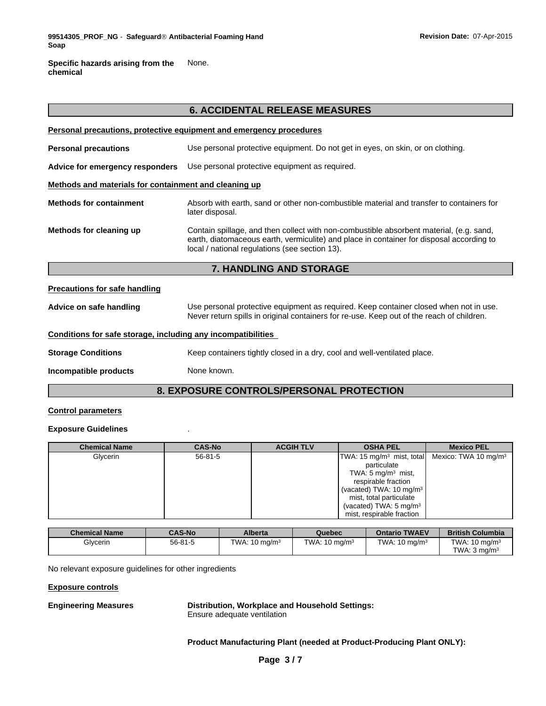**Specific hazards arising from the chemical** None.

|                                                              | 0. ACCIDENTAL RELEASE MEASURES                                                                                                                                                                                                        |  |
|--------------------------------------------------------------|---------------------------------------------------------------------------------------------------------------------------------------------------------------------------------------------------------------------------------------|--|
|                                                              | Personal precautions, protective equipment and emergency procedures                                                                                                                                                                   |  |
| <b>Personal precautions</b>                                  | Use personal protective equipment. Do not get in eyes, on skin, or on clothing.                                                                                                                                                       |  |
| Advice for emergency responders                              | Use personal protective equipment as required.                                                                                                                                                                                        |  |
| Methods and materials for containment and cleaning up        |                                                                                                                                                                                                                                       |  |
| <b>Methods for containment</b>                               | Absorb with earth, sand or other non-combustible material and transfer to containers for<br>later disposal.                                                                                                                           |  |
| Methods for cleaning up                                      | Contain spillage, and then collect with non-combustible absorbent material, (e.g. sand,<br>earth, diatomaceous earth, vermiculite) and place in container for disposal according to<br>local / national regulations (see section 13). |  |
|                                                              | 7. HANDLING AND STORAGE                                                                                                                                                                                                               |  |
| <b>Precautions for safe handling</b>                         |                                                                                                                                                                                                                                       |  |
| Advice on safe handling                                      | Use personal protective equipment as required. Keep container closed when not in use.<br>Never return spills in original containers for re-use. Keep out of the reach of children.                                                    |  |
| Conditions for safe storage, including any incompatibilities |                                                                                                                                                                                                                                       |  |
| <b>Storage Conditions</b>                                    | Keep containers tightly closed in a dry, cool and well-ventilated place.                                                                                                                                                              |  |
| Incompatible products                                        | None known.                                                                                                                                                                                                                           |  |
|                                                              |                                                                                                                                                                                                                                       |  |

**6. ACCIDENTAL RELEASE MEASURES**

## **8. EXPOSURE CONTROLS/PERSONAL PROTECTION**

### **Control parameters**

## **Exposure Guidelines** .

| <b>Chemical Name</b> | <b>CAS-No</b> | <b>ACGIH TLV</b> | <b>OSHA PEL</b>                                               | <b>Mexico PEL</b> |
|----------------------|---------------|------------------|---------------------------------------------------------------|-------------------|
| Glycerin             | $56 - 81 - 5$ |                  | $ TWA: 15 mg/m3$ mist, total Mexico: TWA 10 mg/m <sup>3</sup> |                   |
|                      |               |                  | particulate                                                   |                   |
|                      |               |                  | TWA: 5 mg/m <sup>3</sup> mist,                                |                   |
|                      |               |                  | respirable fraction                                           |                   |
|                      |               |                  | (vacated) TWA: 10 mg/m <sup>3</sup>                           |                   |
|                      |               |                  | mist, total particulate                                       |                   |
|                      |               |                  | (vacated) TWA: $5 \text{ mg/m}^3$                             |                   |
|                      |               |                  | mist, respirable fraction                                     |                   |

| <b>Chemical Name</b> | <b>CAS-No</b> | <b>Alberta</b>           | Quebec                   | <b>Ontario TWAEV</b>     | <b>British Columbia</b>  |
|----------------------|---------------|--------------------------|--------------------------|--------------------------|--------------------------|
| Glycerin             | $56 - 81 - 5$ | TWA: $10 \text{ ma/m}^3$ | TWA: $10 \text{ ma/m}^3$ | TWA: $10 \text{ ma/m}^3$ | TWA: $10 \text{ ma/m}^3$ |
|                      |               |                          |                          |                          | TWA: $3 \text{ ma/m}^3$  |

No relevant exposure guidelines for other ingredients

**Exposure controls**

**Engineering Measures Distribution, Workplace and Household Settings:** Ensure adequate ventilation

**Product Manufacturing Plant (needed at Product-Producing Plant ONLY):**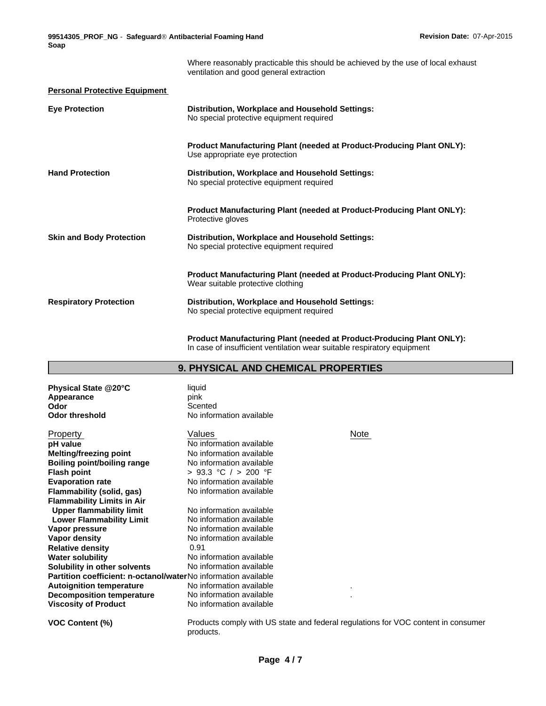**99514305\_PROF\_NG** - **SafeguardÒ Antibacterial Foaming Hand Soap**

Where reasonably practicable this should be achieved by the use of local exhaust ventilation and good general extraction **Personal Protective Equipment Eye Protection Distribution, Workplace and Household Settings:** No special protective equipment required **Product Manufacturing Plant (needed at Product-Producing Plant ONLY):** Use appropriate eye protection **Hand Protection Distribution, Workplace and Household Settings:** No special protective equipment required **Product Manufacturing Plant (needed at Product-Producing Plant ONLY):** Protective gloves **Skin and Body Protection Distribution, Workplace and Household Settings:** No special protective equipment required **Product Manufacturing Plant (needed at Product-Producing Plant ONLY):** Wear suitable protective clothing **Respiratory Protection Distribution, Workplace and Household Settings:** No special protective equipment required

> **Product Manufacturing Plant (needed at Product-Producing Plant ONLY):** In case of insufficient ventilation wear suitable respiratory equipment

| 9. PHYSICAL AND CHEMICAL PROPERTIES |  |
|-------------------------------------|--|
|-------------------------------------|--|

| Physical State @20°C                                           | liquid                                                                            |      |
|----------------------------------------------------------------|-----------------------------------------------------------------------------------|------|
| Appearance                                                     | pink                                                                              |      |
| Odor                                                           | Scented                                                                           |      |
| Odor threshold                                                 | No information available                                                          |      |
| Property                                                       | Values                                                                            | Note |
| pH value                                                       | No information available                                                          |      |
| Melting/freezing point                                         | No information available                                                          |      |
| <b>Boiling point/boiling range</b>                             | No information available                                                          |      |
| Flash point                                                    | > 93.3 °C / > 200 °F                                                              |      |
| <b>Evaporation rate</b>                                        | No information available                                                          |      |
| Flammability (solid, gas)                                      | No information available                                                          |      |
| <b>Flammability Limits in Air</b>                              |                                                                                   |      |
| <b>Upper flammability limit</b>                                | No information available                                                          |      |
| <b>Lower Flammability Limit</b>                                | No information available                                                          |      |
| Vapor pressure                                                 | No information available                                                          |      |
| Vapor density                                                  | No information available                                                          |      |
| <b>Relative density</b>                                        | 0.91                                                                              |      |
| Water solubility                                               | No information available                                                          |      |
| Solubility in other solvents                                   | No information available                                                          |      |
| Partition coefficient: n-octanol/waterNo information available |                                                                                   |      |
| <b>Autoignition temperature</b>                                | No information available                                                          |      |
| <b>Decomposition temperature</b>                               | No information available                                                          |      |
| Viscosity of Product                                           | No information available                                                          |      |
| VOC Content (%)                                                | Products comply with US state and federal regulations for VOC content in consumer |      |

products.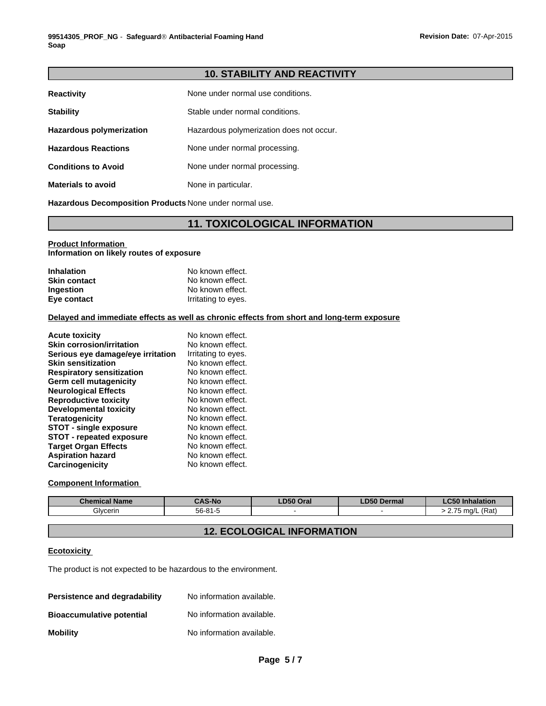## **10. STABILITY AND REACTIVITY**

| <b>Reactivity</b>               | None under normal use conditions.        |
|---------------------------------|------------------------------------------|
| <b>Stability</b>                | Stable under normal conditions.          |
| <b>Hazardous polymerization</b> | Hazardous polymerization does not occur. |
| <b>Hazardous Reactions</b>      | None under normal processing.            |
| <b>Conditions to Avoid</b>      | None under normal processing.            |
| <b>Materials to avoid</b>       | None in particular.                      |

**Hazardous Decomposition Products** None under normal use.

## **11. TOXICOLOGICAL INFORMATION**

## **Product Information**

**Information on likely routes of exposure**

| <b>Inhalation</b>   | No known effect.    |  |
|---------------------|---------------------|--|
| <b>Skin contact</b> | No known effect.    |  |
| <b>Ingestion</b>    | No known effect.    |  |
| Eye contact         | Irritating to eyes. |  |

#### **Delayed and immediate effects as well as chronic effects from short and long-term exposure**

| <b>Acute toxicity</b>             | No known effect.    |
|-----------------------------------|---------------------|
| <b>Skin corrosion/irritation</b>  | No known effect.    |
| Serious eye damage/eye irritation | Irritating to eyes. |
| <b>Skin sensitization</b>         | No known effect.    |
| <b>Respiratory sensitization</b>  | No known effect.    |
| Germ cell mutagenicity            | No known effect.    |
| <b>Neurological Effects</b>       | No known effect.    |
| <b>Reproductive toxicity</b>      | No known effect.    |
| <b>Developmental toxicity</b>     | No known effect.    |
| <b>Teratogenicity</b>             | No known effect.    |
| <b>STOT - single exposure</b>     | No known effect.    |
| <b>STOT - repeated exposure</b>   | No known effect.    |
| <b>Target Organ Effects</b>       | No known effect.    |
| <b>Aspiration hazard</b>          | No known effect.    |
| Carcinogenicity                   | No known effect.    |

## **Component Information**

| Chemical Name | <b>CAS-No</b> | LD50 Oral | LD50<br>Dermal | 50 Inhalation  |
|---------------|---------------|-----------|----------------|----------------|
| Glvcerin      | $56 - 81 - 5$ |           |                | L (Rať<br>ma/l |

## **12. ECOLOGICAL INFORMATION**

## **Ecotoxicity**

The product is not expected to be hazardous to the environment.

| Persistence and degradability    | No information available. |
|----------------------------------|---------------------------|
| <b>Bioaccumulative potential</b> | No information available. |
| <b>Mobility</b>                  | No information available. |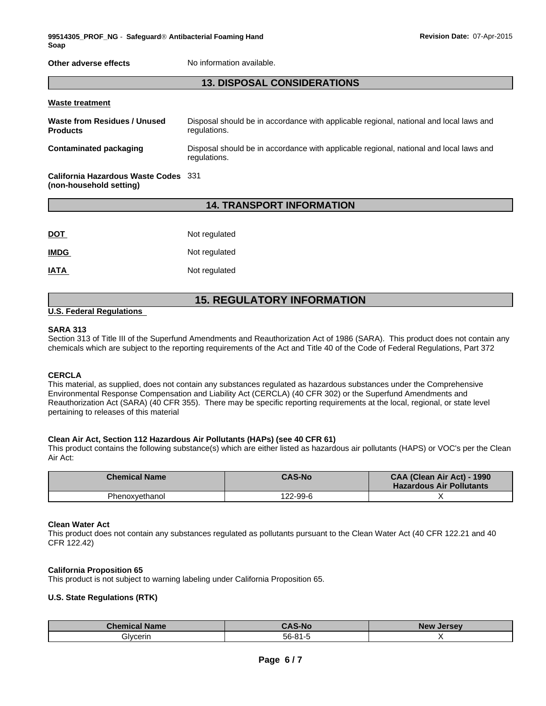**Other adverse effects** No information available.

## **13. DISPOSAL CONSIDERATIONS**

| <b>Waste treatment</b>                                          |                                                                                                        |
|-----------------------------------------------------------------|--------------------------------------------------------------------------------------------------------|
| Waste from Residues / Unused<br><b>Products</b>                 | Disposal should be in accordance with applicable regional, national and local laws and<br>regulations. |
| Contaminated packaging                                          | Disposal should be in accordance with applicable regional, national and local laws and<br>regulations. |
| California Hazardous Waste Codes 331<br>(non-household setting) |                                                                                                        |

## **14. TRANSPORT INFORMATION**

| <b>DOT</b>  | Not regulated |
|-------------|---------------|
| <b>IMDG</b> | Not regulated |
| <b>IATA</b> | Not regulated |

## **15. REGULATORY INFORMATION**

### **U.S. Federal Regulations**

#### **SARA 313**

Section 313 of Title III of the Superfund Amendments and Reauthorization Act of 1986 (SARA). This product does not contain any chemicals which are subject to the reporting requirements of the Act and Title 40 of the Code of Federal Regulations, Part 372

#### **CERCLA**

This material, as supplied, does not contain any substances regulated as hazardous substances under the Comprehensive Environmental Response Compensation and Liability Act (CERCLA) (40 CFR 302) or the Superfund Amendments and Reauthorization Act (SARA) (40 CFR 355). There may be specific reporting requirements at the local, regional, or state level pertaining to releases of this material

#### **Clean Air Act, Section 112 Hazardous Air Pollutants (HAPs) (see 40 CFR 61)**

This product contains the following substance(s) which are either listed as hazardous air pollutants (HAPS) or VOC's per the Clean Air Act:

| <b>Chemical Name</b> | <b>CAS-No</b> | CAA (Clean Air Act) - 1990<br><b>Hazardous Air Pollutants</b> |
|----------------------|---------------|---------------------------------------------------------------|
| Phenoxvethanol       | 122-99-6      |                                                               |

#### **Clean Water Act**

This product does not contain any substances regulated as pollutants pursuant to the Clean Water Act (40 CFR 122.21 and 40 CFR 122.42)

#### **California Proposition 65**

This product is not subject to warning labeling under California Proposition 65.

#### **U.S. State Regulations (RTK)**

| <b>Chemical Name</b> | <b>CAS-No</b> | <b>New</b><br><b>Jersey</b> |
|----------------------|---------------|-----------------------------|
| slycerinد'           | 56-81-<br>.   |                             |